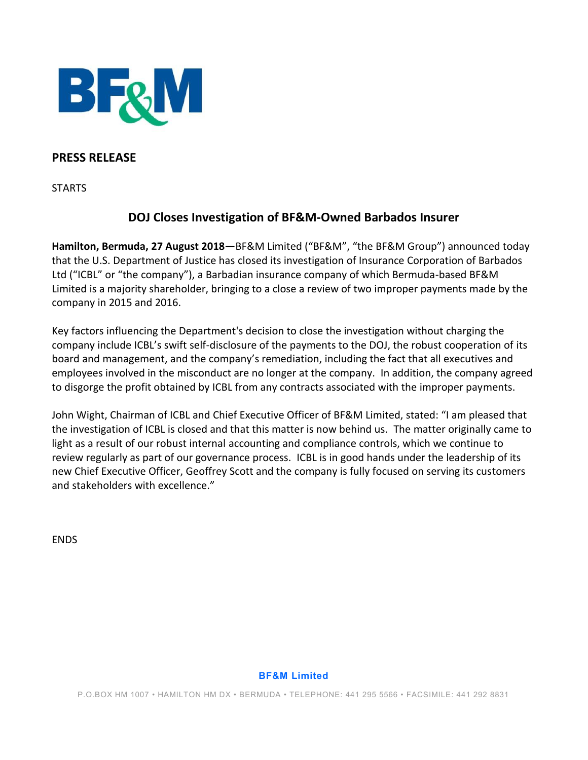

# **PRESS RELEASE**

**STARTS** 

# **DOJ Closes Investigation of BF&M-Owned Barbados Insurer**

**Hamilton, Bermuda, 27 August 2018—**BF&M Limited ("BF&M", "the BF&M Group") announced today that the U.S. Department of Justice has closed its investigation of Insurance Corporation of Barbados Ltd ("ICBL" or "the company"), a Barbadian insurance company of which Bermuda-based BF&M Limited is a majority shareholder, bringing to a close a review of two improper payments made by the company in 2015 and 2016.

Key factors influencing the Department's decision to close the investigation without charging the company include ICBL's swift self-disclosure of the payments to the DOJ, the robust cooperation of its board and management, and the company's remediation, including the fact that all executives and employees involved in the misconduct are no longer at the company. In addition, the company agreed to disgorge the profit obtained by ICBL from any contracts associated with the improper payments.

John Wight, Chairman of ICBL and Chief Executive Officer of BF&M Limited, stated: "I am pleased that the investigation of ICBL is closed and that this matter is now behind us. The matter originally came to light as a result of our robust internal accounting and compliance controls, which we continue to review regularly as part of our governance process. ICBL is in good hands under the leadership of its new Chief Executive Officer, Geoffrey Scott and the company is fully focused on serving its customers and stakeholders with excellence."

ENDS

## **BF&M Limited**

P.O.BOX HM 1007 • HAMILTON HM DX • BERMUDA • TELEPHONE: 441 295 5566 • FACSIMILE: 441 292 8831